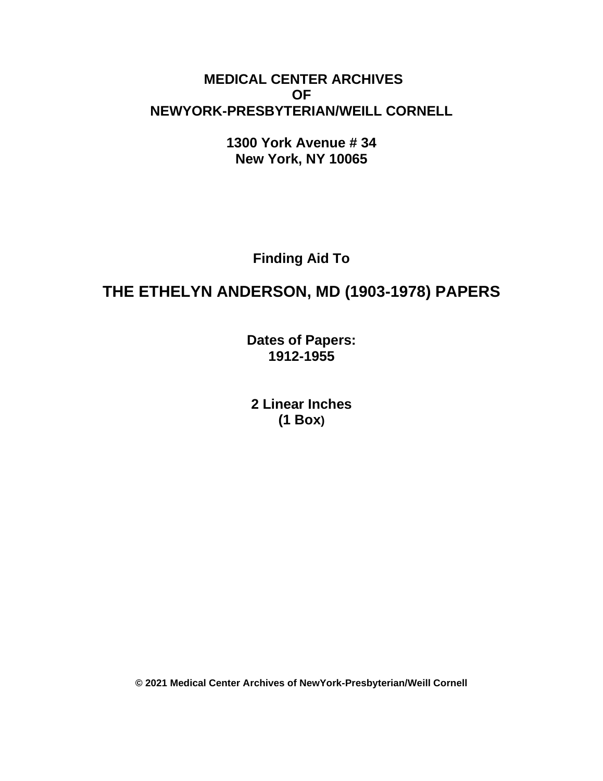## **MEDICAL CENTER ARCHIVES OF NEWYORK-PRESBYTERIAN/WEILL CORNELL**

**1300 York Avenue # 34 New York, NY 10065**

**Finding Aid To**

# **THE ETHELYN ANDERSON, MD (1903-1978) PAPERS**

**Dates of Papers: 1912-1955**

**2 Linear Inches (1 Box)**

**© 2021 Medical Center Archives of NewYork-Presbyterian/Weill Cornell**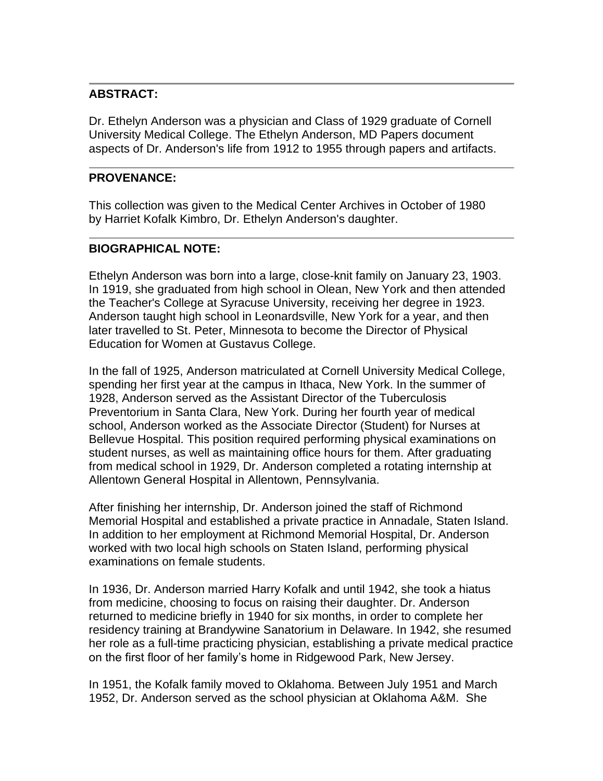#### **ABSTRACT:**

Dr. Ethelyn Anderson was a physician and Class of 1929 graduate of Cornell University Medical College. The Ethelyn Anderson, MD Papers document aspects of Dr. Anderson's life from 1912 to 1955 through papers and artifacts.

#### **PROVENANCE:**

This collection was given to the Medical Center Archives in October of 1980 by Harriet Kofalk Kimbro, Dr. Ethelyn Anderson's daughter.

## **BIOGRAPHICAL NOTE:**

Ethelyn Anderson was born into a large, close-knit family on January 23, 1903. In 1919, she graduated from high school in Olean, New York and then attended the Teacher's College at Syracuse University, receiving her degree in 1923. Anderson taught high school in Leonardsville, New York for a year, and then later travelled to St. Peter, Minnesota to become the Director of Physical Education for Women at Gustavus College.

In the fall of 1925, Anderson matriculated at Cornell University Medical College, spending her first year at the campus in Ithaca, New York. In the summer of 1928, Anderson served as the Assistant Director of the Tuberculosis Preventorium in Santa Clara, New York. During her fourth year of medical school, Anderson worked as the Associate Director (Student) for Nurses at Bellevue Hospital. This position required performing physical examinations on student nurses, as well as maintaining office hours for them. After graduating from medical school in 1929, Dr. Anderson completed a rotating internship at Allentown General Hospital in Allentown, Pennsylvania.

After finishing her internship, Dr. Anderson joined the staff of Richmond Memorial Hospital and established a private practice in Annadale, Staten Island. In addition to her employment at Richmond Memorial Hospital, Dr. Anderson worked with two local high schools on Staten Island, performing physical examinations on female students.

In 1936, Dr. Anderson married Harry Kofalk and until 1942, she took a hiatus from medicine, choosing to focus on raising their daughter. Dr. Anderson returned to medicine briefly in 1940 for six months, in order to complete her residency training at Brandywine Sanatorium in Delaware. In 1942, she resumed her role as a full-time practicing physician, establishing a private medical practice on the first floor of her family's home in Ridgewood Park, New Jersey.

In 1951, the Kofalk family moved to Oklahoma. Between July 1951 and March 1952, Dr. Anderson served as the school physician at Oklahoma A&M. She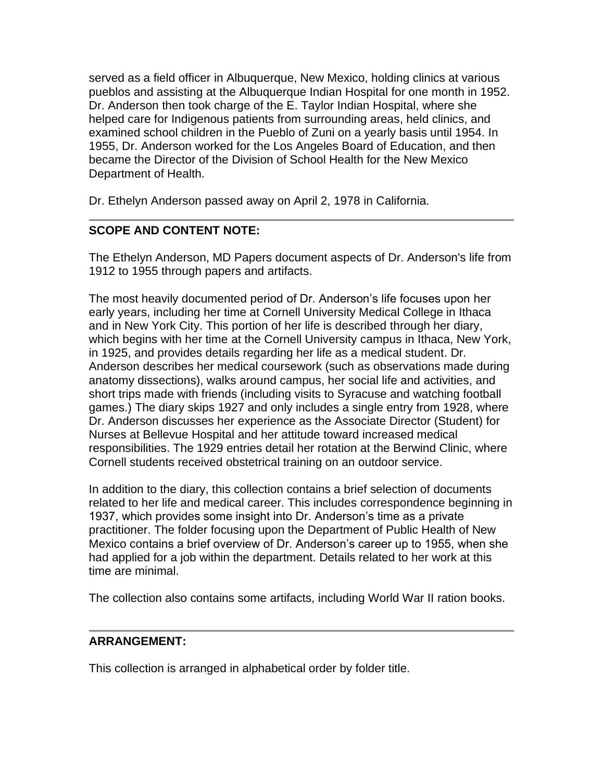served as a field officer in Albuquerque, New Mexico, holding clinics at various pueblos and assisting at the Albuquerque Indian Hospital for one month in 1952. Dr. Anderson then took charge of the E. Taylor Indian Hospital, where she helped care for Indigenous patients from surrounding areas, held clinics, and examined school children in the Pueblo of Zuni on a yearly basis until 1954. In 1955, Dr. Anderson worked for the Los Angeles Board of Education, and then became the Director of the Division of School Health for the New Mexico Department of Health.

Dr. Ethelyn Anderson passed away on April 2, 1978 in California.

## **SCOPE AND CONTENT NOTE:**

The Ethelyn Anderson, MD Papers document aspects of Dr. Anderson's life from 1912 to 1955 through papers and artifacts.

The most heavily documented period of Dr. Anderson's life focuses upon her early years, including her time at Cornell University Medical College in Ithaca and in New York City. This portion of her life is described through her diary, which begins with her time at the Cornell University campus in Ithaca, New York, in 1925, and provides details regarding her life as a medical student. Dr. Anderson describes her medical coursework (such as observations made during anatomy dissections), walks around campus, her social life and activities, and short trips made with friends (including visits to Syracuse and watching football games.) The diary skips 1927 and only includes a single entry from 1928, where Dr. Anderson discusses her experience as the Associate Director (Student) for Nurses at Bellevue Hospital and her attitude toward increased medical responsibilities. The 1929 entries detail her rotation at the Berwind Clinic, where Cornell students received obstetrical training on an outdoor service.

In addition to the diary, this collection contains a brief selection of documents related to her life and medical career. This includes correspondence beginning in 1937, which provides some insight into Dr. Anderson's time as a private practitioner. The folder focusing upon the Department of Public Health of New Mexico contains a brief overview of Dr. Anderson's career up to 1955, when she had applied for a job within the department. Details related to her work at this time are minimal.

The collection also contains some artifacts, including World War II ration books.

## **ARRANGEMENT:**

This collection is arranged in alphabetical order by folder title.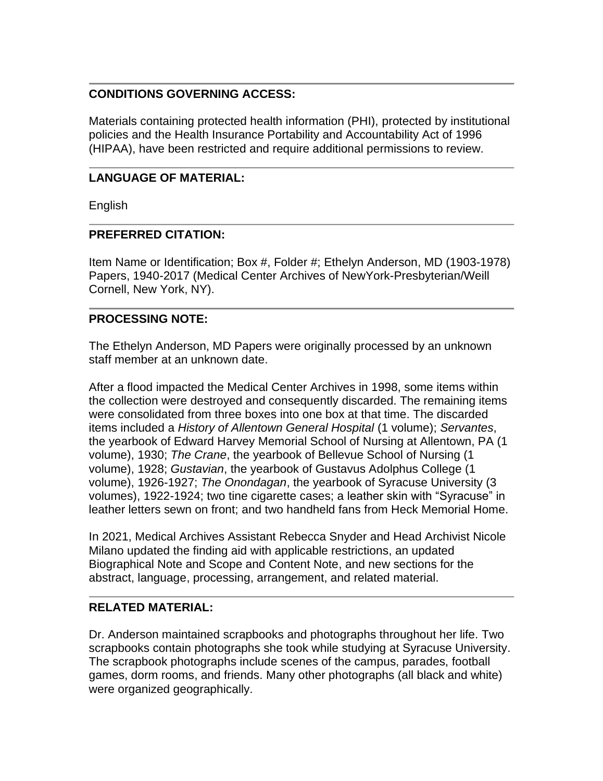#### **CONDITIONS GOVERNING ACCESS:**

Materials containing protected health information (PHI), protected by institutional policies and the Health Insurance Portability and Accountability Act of 1996 (HIPAA), have been restricted and require additional permissions to review.

## **LANGUAGE OF MATERIAL:**

English

#### **PREFERRED CITATION:**

Item Name or Identification; Box #, Folder #; Ethelyn Anderson, MD (1903-1978) Papers, 1940-2017 (Medical Center Archives of NewYork-Presbyterian/Weill Cornell, New York, NY).

## **PROCESSING NOTE:**

The Ethelyn Anderson, MD Papers were originally processed by an unknown staff member at an unknown date.

After a flood impacted the Medical Center Archives in 1998, some items within the collection were destroyed and consequently discarded. The remaining items were consolidated from three boxes into one box at that time. The discarded items included a *History of Allentown General Hospital* (1 volume); *Servantes*, the yearbook of Edward Harvey Memorial School of Nursing at Allentown, PA (1 volume), 1930; *The Crane*, the yearbook of Bellevue School of Nursing (1 volume), 1928; *Gustavian*, the yearbook of Gustavus Adolphus College (1 volume), 1926-1927; *The Onondagan*, the yearbook of Syracuse University (3 volumes), 1922-1924; two tine cigarette cases; a leather skin with "Syracuse" in leather letters sewn on front; and two handheld fans from Heck Memorial Home.

In 2021, Medical Archives Assistant Rebecca Snyder and Head Archivist Nicole Milano updated the finding aid with applicable restrictions, an updated Biographical Note and Scope and Content Note, and new sections for the abstract, language, processing, arrangement, and related material.

#### **RELATED MATERIAL:**

Dr. Anderson maintained scrapbooks and photographs throughout her life. Two scrapbooks contain photographs she took while studying at Syracuse University. The scrapbook photographs include scenes of the campus, parades, football games, dorm rooms, and friends. Many other photographs (all black and white) were organized geographically.